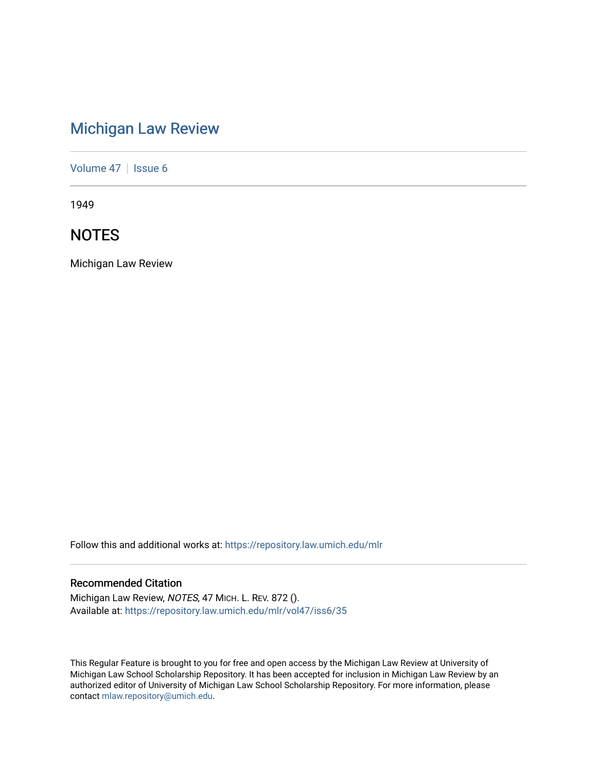# [Michigan Law Review](https://repository.law.umich.edu/mlr)

[Volume 47](https://repository.law.umich.edu/mlr/vol47) | [Issue 6](https://repository.law.umich.edu/mlr/vol47/iss6)

1949

# **NOTES**

Michigan Law Review

Follow this and additional works at: [https://repository.law.umich.edu/mlr](https://repository.law.umich.edu/mlr?utm_source=repository.law.umich.edu%2Fmlr%2Fvol47%2Fiss6%2F35&utm_medium=PDF&utm_campaign=PDFCoverPages) 

# Recommended Citation

Michigan Law Review, NOTES, 47 MICH. L. REV. 872 (). Available at: [https://repository.law.umich.edu/mlr/vol47/iss6/35](https://repository.law.umich.edu/mlr/vol47/iss6/35?utm_source=repository.law.umich.edu%2Fmlr%2Fvol47%2Fiss6%2F35&utm_medium=PDF&utm_campaign=PDFCoverPages) 

This Regular Feature is brought to you for free and open access by the Michigan Law Review at University of Michigan Law School Scholarship Repository. It has been accepted for inclusion in Michigan Law Review by an authorized editor of University of Michigan Law School Scholarship Repository. For more information, please contact [mlaw.repository@umich.edu](mailto:mlaw.repository@umich.edu).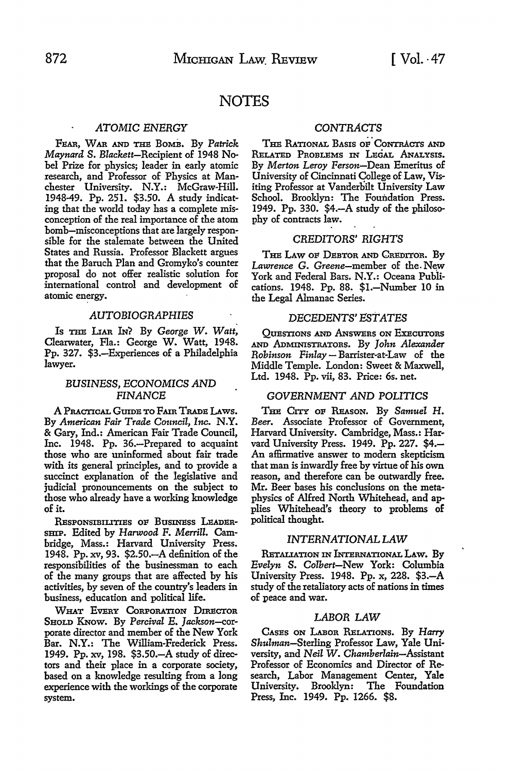# **NOTES**

# *ATOMIC ENERGY*

FEAR, **WAR AND** THB BOMB, By *Patrick Maynard* S. Blackett-Recipient of 1948 Nobel Prize for physics; leader in early atomic research, and Professor of Physics at Manchester University. N.Y.: McGraw-Hill. 1948-49. Pp. 251. \$3.50. **A** study indicating that the world today has a complete misconception of the real importance of the atom bomb-misconceptions that are largely responsible for the stalemate between the United States and Russia. Professor Blackett argues that the Baruch Plan and Gromyko's counter proposal do not offer realistic solution for international control and development of atomic energy.

#### *AUTOBIOGRAPHIES*

Is THB LIAR *hi?* By *George* W. *Watt,*  Clearwater, Fla.: George W. Watt, 1948. Pp. 327. \$3.-Experiences of a Philadelphia lawyer.

# *BUSINESS,* ECONOMICS *AND FINANCE*

A PRACTICAL GUIDB TO FAIR TRADB LAws. By *American Fair Trade Council, Inc.* N.Y. & Gary, Ind.: American Fair Trade Council, Inc. 1948. Pp. 36.-Prepared to acquaint those who are uninformed about fair trade with its general principles, and to provide a succinct explanation of the legislative and judicial pronouncements on the subject to those who already have a working knowledge of it.

RESPONSIBILITIES OF BUSINESS LEADERsmP. Edited by *Harwood* F. *Merrill.* Cambridge, Mass.: Harvard University Press. 1948. Pp. xv, 93. \$2.50. A definition of the responsibilities of the businessman to each of the many groups that are affected by his activities, by seven of the country's leaders in business, education and political life.

WHAT EVERY CORPORATION DIRECTOR SHOLD KNOW. By Percival E. Jackson-corporate director and member of the New York Bar. **N.Y.:** The William-Frederick Press. 1949. Pp. xv, 198. \$3.50.-A study of directors and their place in a corporate society, based on a knowledge resulting from a long experience with the workings of the corporate system.

#### *CONTRACTS*

THE RATIONAL BASIS OF CONTRACTS AND RELATED PROBLEMS IN LEGAL ANALYSIS. By *Merton Leroy* Person-Dean Emeritus of University of Cincinnati College of Law, Visiting Professor at Vanderbilt University Law School. Brooklyn: The Foundation Press. 1949. Pp. 330. \$4.-A study of the philosophy of contracts law.

# CREDITORS' *RIGHTS*

THE LAW OF DEBTOR AND CREDITOR. By *Lawrence* G. Greene-member of the. New York and Federal Bars. N.Y.: Oceana Publications. 1948. Pp. 88. \$1.-Number 10 in the Legal Almanac Series.

# DECEDENTS' *EST ATES*

QUESTIONS AND ANSWERS ON ExscUTORS AND ADMINISTRATORS. By *John Alexander Robinson Finlay* - Barrister-at-Law of the Middle Temple. London: Sweet & Maxwell, Ltd. 1948. Pp. vii, 83. Price: 6s. net.

# *GOVERNMENT AND* POLITICS

THE CITY OF REASON. By Samuel H. *Beer.* Associate Professor of Government, Harvard University. Cambridge, Mass.: Harvard University Press. 1949. Pp. 227. \$4.- An affirmative answer to modern skepticism that man is inwardly free by virtue of his own reason, and therefore can be outwardly free. Mr. Beer bases his conclusions on the metaphysics of Alfred North Whitehead, and applies Whitehead's theory to problems of political thought.

# *INTERNATIONAL LAW*

RETALIATION IN INTERNATIONAL LAW. By *Evelyn* S. *Colbert-New* York: Columbia University Press. 1948. Pp. x, 228. \$3.-A study of the retaliatory acts of nations in times of peace and war.

#### *LABOR LAW*

CASES ON LABOR RELATIONS. By *Harry Shulman-Sterling* Professor Law, Yale University, and *Neil* W. *Chamberlain-Assistant*  Professor of Economics and Director of Research, Labor Management Center, Yale University. Brooklyn: Press, Inc. 1949. Pp. 1266. \$8.